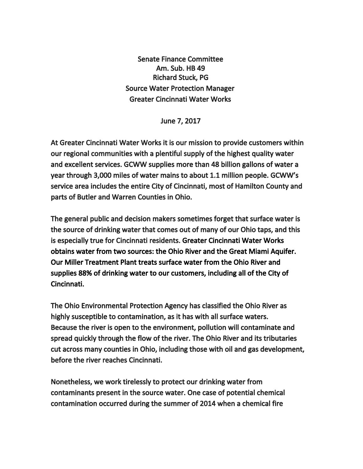Senate Finance Committee Am. Sub. HB 49 Richard Stuck, PG Source Water Protection Manager Greater Cincinnati Water Works

June 7, 2017

At Greater Cincinnati Water Works it is our mission to provide customers within our regional communities with a plentiful supply of the highest quality water and excellent services. GCWW supplies more than 48 billion gallons of water a year through 3,000 miles of water mains to about 1.1 million people. GCWW's service area includes the entire City of Cincinnati, most of Hamilton County and parts of Butler and Warren Counties in Ohio.

The general public and decision makers sometimes forget that surface water is the source of drinking water that comes out of many of our Ohio taps, and this is especially true for Cincinnati residents. Greater Cincinnati Water Works obtains water from two sources: the Ohio River and the Great Miami Aquifer. Our Miller Treatment Plant treats surface water from the Ohio River and supplies 88% of drinking water to our customers, including all of the City of Cincinnati.

The Ohio Environmental Protection Agency has classified the Ohio River as highly susceptible to contamination, as it has with all surface waters. Because the river is open to the environment, pollution will contaminate and spread quickly through the flow of the river. The Ohio River and its tributaries cut across many counties in Ohio, including those with oil and gas development, before the river reaches Cincinnati.

Nonetheless, we work tirelessly to protect our drinking water from contaminants present in the source water. One case of potential chemical contamination occurred during the summer of 2014 when a chemical fire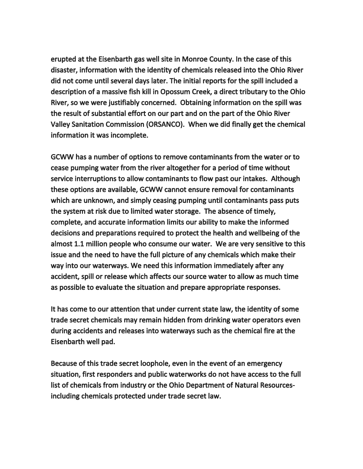erupted at the Eisenbarth gas well site in Monroe County. In the case of this disaster, information with the identity of chemicals released into the Ohio River did not come until several days later. The initial reports for the spill included a description of a massive fish kill in Opossum Creek, a direct tributary to the Ohio River, so we were justifiably concerned. Obtaining information on the spill was the result of substantial effort on our part and on the part of the Ohio River Valley Sanitation Commission (ORSANCO). When we did finally get the chemical information it was incomplete.

GCWW has a number of options to remove contaminants from the water or to cease pumping water from the river altogether for a period of time without service interruptions to allow contaminants to flow past our intakes. Although these options are available, GCWW cannot ensure removal for contaminants which are unknown, and simply ceasing pumping until contaminants pass puts the system at risk due to limited water storage. The absence of timely, complete, and accurate information limits our ability to make the informed decisions and preparations required to protect the health and wellbeing of the almost 1.1 million people who consume our water. We are very sensitive to this issue and the need to have the full picture of any chemicals which make their way into our waterways. We need this information immediately after any accident, spill or release which affects our source water to allow as much time as possible to evaluate the situation and prepare appropriate responses.

It has come to our attention that under current state law, the identity of some trade secret chemicals may remain hidden from drinking water operators even during accidents and releases into waterways such as the chemical fire at the Eisenbarth well pad.

Because of this trade secret loophole, even in the event of an emergency situation, first responders and public waterworks do not have access to the full list of chemicals from industry or the Ohio Department of Natural Resourcesincluding chemicals protected under trade secret law.